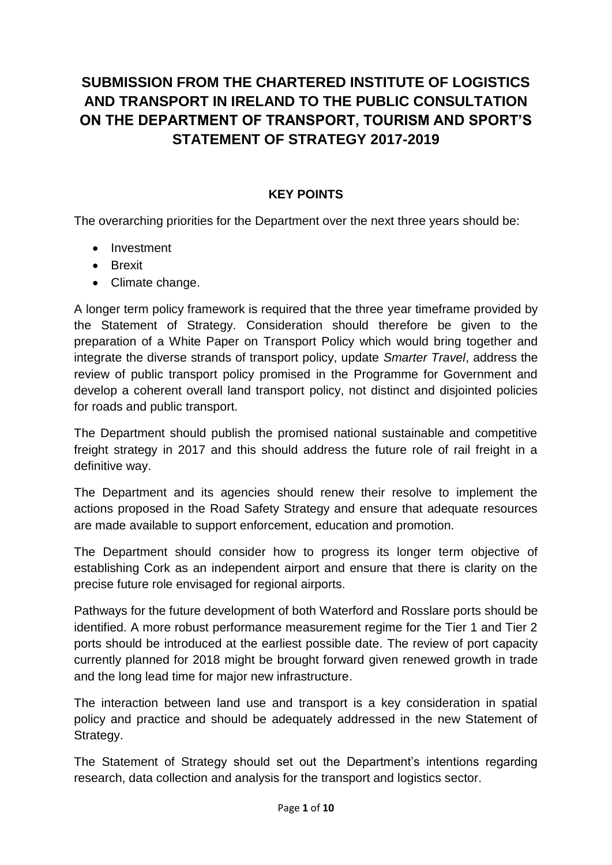# **SUBMISSION FROM THE CHARTERED INSTITUTE OF LOGISTICS AND TRANSPORT IN IRELAND TO THE PUBLIC CONSULTATION ON THE DEPARTMENT OF TRANSPORT, TOURISM AND SPORT'S STATEMENT OF STRATEGY 2017-2019**

#### **KEY POINTS**

The overarching priorities for the Department over the next three years should be:

- Investment
- Brexit
- Climate change.

A longer term policy framework is required that the three year timeframe provided by the Statement of Strategy. Consideration should therefore be given to the preparation of a White Paper on Transport Policy which would bring together and integrate the diverse strands of transport policy, update *Smarter Travel*, address the review of public transport policy promised in the Programme for Government and develop a coherent overall land transport policy, not distinct and disjointed policies for roads and public transport.

The Department should publish the promised national sustainable and competitive freight strategy in 2017 and this should address the future role of rail freight in a definitive way.

The Department and its agencies should renew their resolve to implement the actions proposed in the Road Safety Strategy and ensure that adequate resources are made available to support enforcement, education and promotion.

The Department should consider how to progress its longer term objective of establishing Cork as an independent airport and ensure that there is clarity on the precise future role envisaged for regional airports.

Pathways for the future development of both Waterford and Rosslare ports should be identified. A more robust performance measurement regime for the Tier 1 and Tier 2 ports should be introduced at the earliest possible date. The review of port capacity currently planned for 2018 might be brought forward given renewed growth in trade and the long lead time for major new infrastructure.

The interaction between land use and transport is a key consideration in spatial policy and practice and should be adequately addressed in the new Statement of Strategy.

The Statement of Strategy should set out the Department's intentions regarding research, data collection and analysis for the transport and logistics sector.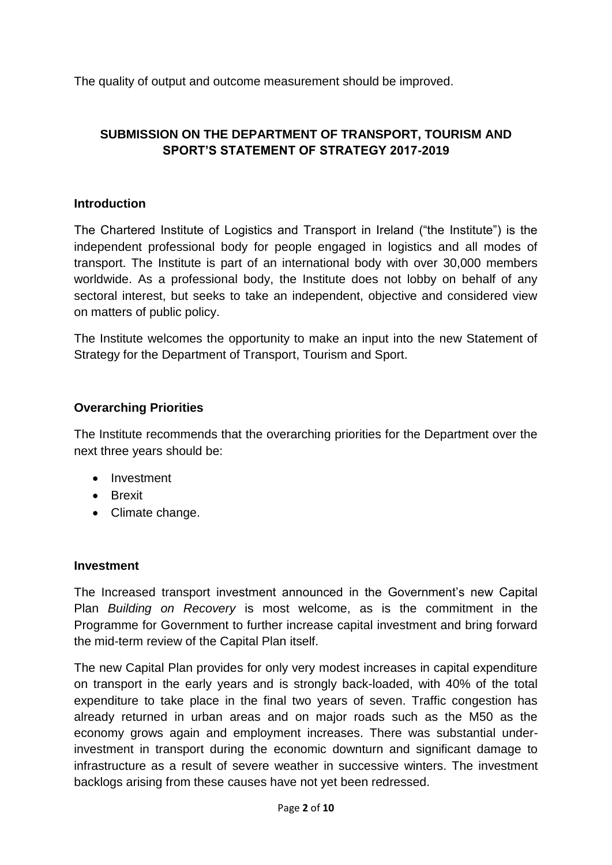The quality of output and outcome measurement should be improved.

## **SUBMISSION ON THE DEPARTMENT OF TRANSPORT, TOURISM AND SPORT'S STATEMENT OF STRATEGY 2017-2019**

#### **Introduction**

The Chartered Institute of Logistics and Transport in Ireland ("the Institute") is the independent professional body for people engaged in logistics and all modes of transport. The Institute is part of an international body with over 30,000 members worldwide. As a professional body, the Institute does not lobby on behalf of any sectoral interest, but seeks to take an independent, objective and considered view on matters of public policy.

The Institute welcomes the opportunity to make an input into the new Statement of Strategy for the Department of Transport, Tourism and Sport.

#### **Overarching Priorities**

The Institute recommends that the overarching priorities for the Department over the next three years should be:

- Investment
- **•** Brexit
- Climate change.

#### **Investment**

The Increased transport investment announced in the Government's new Capital Plan *Building on Recovery* is most welcome, as is the commitment in the Programme for Government to further increase capital investment and bring forward the mid-term review of the Capital Plan itself.

The new Capital Plan provides for only very modest increases in capital expenditure on transport in the early years and is strongly back-loaded, with 40% of the total expenditure to take place in the final two years of seven. Traffic congestion has already returned in urban areas and on major roads such as the M50 as the economy grows again and employment increases. There was substantial underinvestment in transport during the economic downturn and significant damage to infrastructure as a result of severe weather in successive winters. The investment backlogs arising from these causes have not yet been redressed.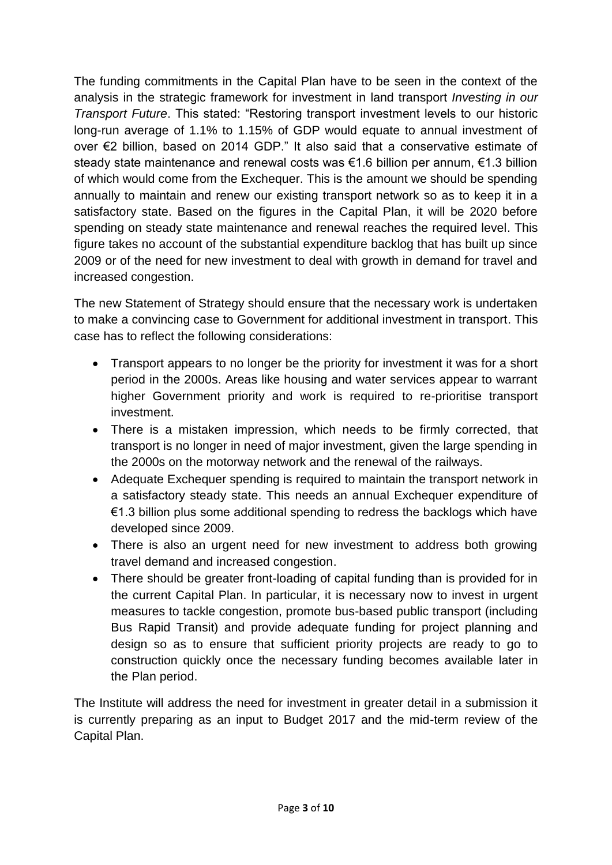The funding commitments in the Capital Plan have to be seen in the context of the analysis in the strategic framework for investment in land transport *Investing in our Transport Future*. This stated: "Restoring transport investment levels to our historic long-run average of 1.1% to 1.15% of GDP would equate to annual investment of over €2 billion, based on 2014 GDP." It also said that a conservative estimate of steady state maintenance and renewal costs was €1.6 billion per annum, €1.3 billion of which would come from the Exchequer. This is the amount we should be spending annually to maintain and renew our existing transport network so as to keep it in a satisfactory state. Based on the figures in the Capital Plan, it will be 2020 before spending on steady state maintenance and renewal reaches the required level. This figure takes no account of the substantial expenditure backlog that has built up since 2009 or of the need for new investment to deal with growth in demand for travel and increased congestion.

The new Statement of Strategy should ensure that the necessary work is undertaken to make a convincing case to Government for additional investment in transport. This case has to reflect the following considerations:

- Transport appears to no longer be the priority for investment it was for a short period in the 2000s. Areas like housing and water services appear to warrant higher Government priority and work is required to re-prioritise transport investment.
- There is a mistaken impression, which needs to be firmly corrected, that transport is no longer in need of major investment, given the large spending in the 2000s on the motorway network and the renewal of the railways.
- Adequate Exchequer spending is required to maintain the transport network in a satisfactory steady state. This needs an annual Exchequer expenditure of €1.3 billion plus some additional spending to redress the backlogs which have developed since 2009.
- There is also an urgent need for new investment to address both growing travel demand and increased congestion.
- There should be greater front-loading of capital funding than is provided for in the current Capital Plan. In particular, it is necessary now to invest in urgent measures to tackle congestion, promote bus-based public transport (including Bus Rapid Transit) and provide adequate funding for project planning and design so as to ensure that sufficient priority projects are ready to go to construction quickly once the necessary funding becomes available later in the Plan period.

The Institute will address the need for investment in greater detail in a submission it is currently preparing as an input to Budget 2017 and the mid-term review of the Capital Plan.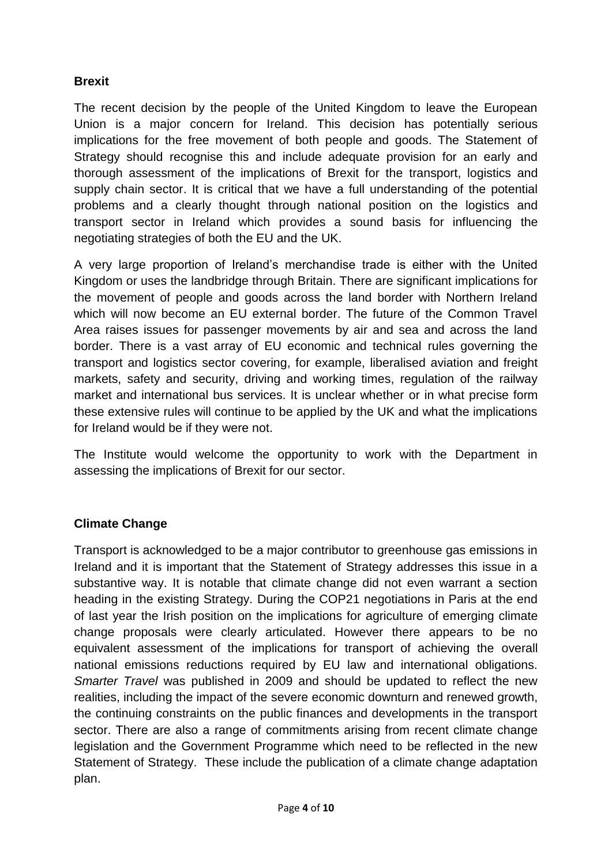## **Brexit**

The recent decision by the people of the United Kingdom to leave the European Union is a major concern for Ireland. This decision has potentially serious implications for the free movement of both people and goods. The Statement of Strategy should recognise this and include adequate provision for an early and thorough assessment of the implications of Brexit for the transport, logistics and supply chain sector. It is critical that we have a full understanding of the potential problems and a clearly thought through national position on the logistics and transport sector in Ireland which provides a sound basis for influencing the negotiating strategies of both the EU and the UK.

A very large proportion of Ireland's merchandise trade is either with the United Kingdom or uses the landbridge through Britain. There are significant implications for the movement of people and goods across the land border with Northern Ireland which will now become an EU external border. The future of the Common Travel Area raises issues for passenger movements by air and sea and across the land border. There is a vast array of EU economic and technical rules governing the transport and logistics sector covering, for example, liberalised aviation and freight markets, safety and security, driving and working times, regulation of the railway market and international bus services. It is unclear whether or in what precise form these extensive rules will continue to be applied by the UK and what the implications for Ireland would be if they were not.

The Institute would welcome the opportunity to work with the Department in assessing the implications of Brexit for our sector.

#### **Climate Change**

Transport is acknowledged to be a major contributor to greenhouse gas emissions in Ireland and it is important that the Statement of Strategy addresses this issue in a substantive way. It is notable that climate change did not even warrant a section heading in the existing Strategy. During the COP21 negotiations in Paris at the end of last year the Irish position on the implications for agriculture of emerging climate change proposals were clearly articulated. However there appears to be no equivalent assessment of the implications for transport of achieving the overall national emissions reductions required by EU law and international obligations. *Smarter Travel* was published in 2009 and should be updated to reflect the new realities, including the impact of the severe economic downturn and renewed growth, the continuing constraints on the public finances and developments in the transport sector. There are also a range of commitments arising from recent climate change legislation and the Government Programme which need to be reflected in the new Statement of Strategy. These include the publication of a climate change adaptation plan.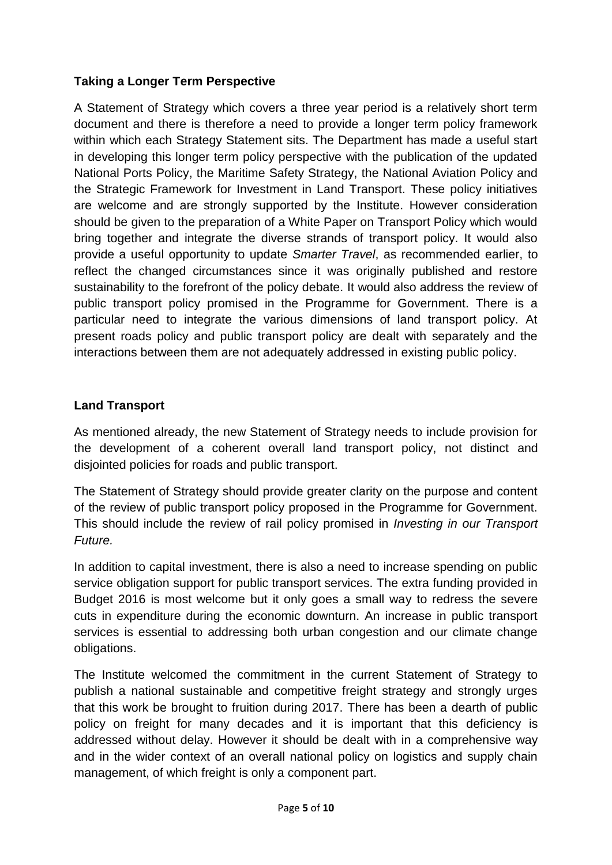## **Taking a Longer Term Perspective**

A Statement of Strategy which covers a three year period is a relatively short term document and there is therefore a need to provide a longer term policy framework within which each Strategy Statement sits. The Department has made a useful start in developing this longer term policy perspective with the publication of the updated National Ports Policy, the Maritime Safety Strategy, the National Aviation Policy and the Strategic Framework for Investment in Land Transport. These policy initiatives are welcome and are strongly supported by the Institute. However consideration should be given to the preparation of a White Paper on Transport Policy which would bring together and integrate the diverse strands of transport policy. It would also provide a useful opportunity to update *Smarter Travel*, as recommended earlier, to reflect the changed circumstances since it was originally published and restore sustainability to the forefront of the policy debate. It would also address the review of public transport policy promised in the Programme for Government. There is a particular need to integrate the various dimensions of land transport policy. At present roads policy and public transport policy are dealt with separately and the interactions between them are not adequately addressed in existing public policy.

## **Land Transport**

As mentioned already, the new Statement of Strategy needs to include provision for the development of a coherent overall land transport policy, not distinct and disjointed policies for roads and public transport.

The Statement of Strategy should provide greater clarity on the purpose and content of the review of public transport policy proposed in the Programme for Government. This should include the review of rail policy promised in *Investing in our Transport Future.*

In addition to capital investment, there is also a need to increase spending on public service obligation support for public transport services. The extra funding provided in Budget 2016 is most welcome but it only goes a small way to redress the severe cuts in expenditure during the economic downturn. An increase in public transport services is essential to addressing both urban congestion and our climate change obligations.

The Institute welcomed the commitment in the current Statement of Strategy to publish a national sustainable and competitive freight strategy and strongly urges that this work be brought to fruition during 2017. There has been a dearth of public policy on freight for many decades and it is important that this deficiency is addressed without delay. However it should be dealt with in a comprehensive way and in the wider context of an overall national policy on logistics and supply chain management, of which freight is only a component part.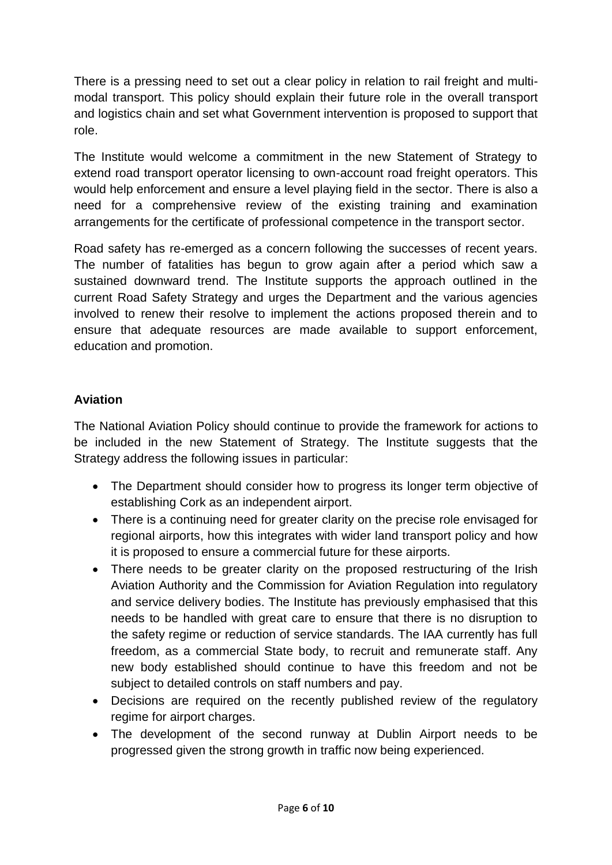There is a pressing need to set out a clear policy in relation to rail freight and multimodal transport. This policy should explain their future role in the overall transport and logistics chain and set what Government intervention is proposed to support that role.

The Institute would welcome a commitment in the new Statement of Strategy to extend road transport operator licensing to own-account road freight operators. This would help enforcement and ensure a level playing field in the sector. There is also a need for a comprehensive review of the existing training and examination arrangements for the certificate of professional competence in the transport sector.

Road safety has re-emerged as a concern following the successes of recent years. The number of fatalities has begun to grow again after a period which saw a sustained downward trend. The Institute supports the approach outlined in the current Road Safety Strategy and urges the Department and the various agencies involved to renew their resolve to implement the actions proposed therein and to ensure that adequate resources are made available to support enforcement, education and promotion.

## **Aviation**

The National Aviation Policy should continue to provide the framework for actions to be included in the new Statement of Strategy. The Institute suggests that the Strategy address the following issues in particular:

- The Department should consider how to progress its longer term objective of establishing Cork as an independent airport.
- There is a continuing need for greater clarity on the precise role envisaged for regional airports, how this integrates with wider land transport policy and how it is proposed to ensure a commercial future for these airports.
- There needs to be greater clarity on the proposed restructuring of the Irish Aviation Authority and the Commission for Aviation Regulation into regulatory and service delivery bodies. The Institute has previously emphasised that this needs to be handled with great care to ensure that there is no disruption to the safety regime or reduction of service standards. The IAA currently has full freedom, as a commercial State body, to recruit and remunerate staff. Any new body established should continue to have this freedom and not be subject to detailed controls on staff numbers and pay.
- Decisions are required on the recently published review of the regulatory regime for airport charges.
- The development of the second runway at Dublin Airport needs to be progressed given the strong growth in traffic now being experienced.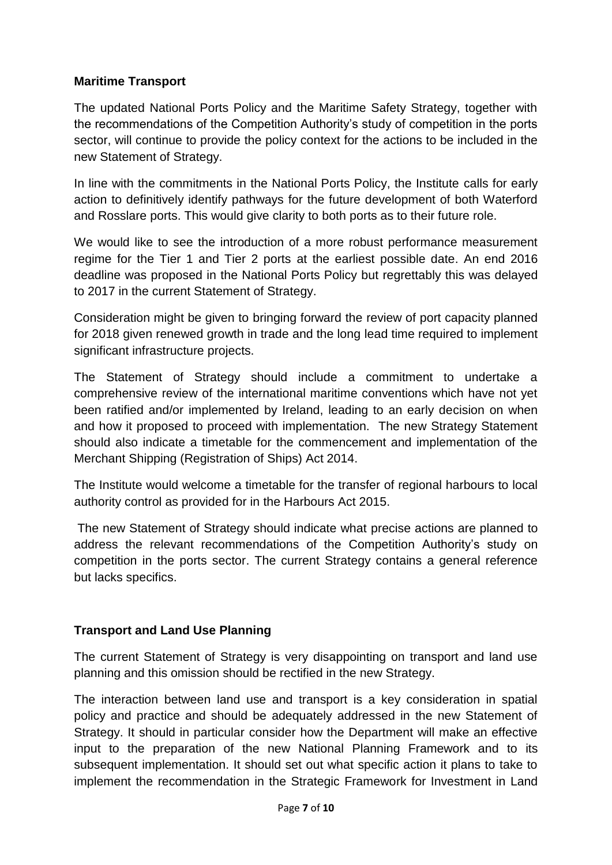## **Maritime Transport**

The updated National Ports Policy and the Maritime Safety Strategy, together with the recommendations of the Competition Authority's study of competition in the ports sector, will continue to provide the policy context for the actions to be included in the new Statement of Strategy.

In line with the commitments in the National Ports Policy, the Institute calls for early action to definitively identify pathways for the future development of both Waterford and Rosslare ports. This would give clarity to both ports as to their future role.

We would like to see the introduction of a more robust performance measurement regime for the Tier 1 and Tier 2 ports at the earliest possible date. An end 2016 deadline was proposed in the National Ports Policy but regrettably this was delayed to 2017 in the current Statement of Strategy.

Consideration might be given to bringing forward the review of port capacity planned for 2018 given renewed growth in trade and the long lead time required to implement significant infrastructure projects.

The Statement of Strategy should include a commitment to undertake a comprehensive review of the international maritime conventions which have not yet been ratified and/or implemented by Ireland, leading to an early decision on when and how it proposed to proceed with implementation. The new Strategy Statement should also indicate a timetable for the commencement and implementation of the Merchant Shipping (Registration of Ships) Act 2014.

The Institute would welcome a timetable for the transfer of regional harbours to local authority control as provided for in the Harbours Act 2015.

The new Statement of Strategy should indicate what precise actions are planned to address the relevant recommendations of the Competition Authority's study on competition in the ports sector. The current Strategy contains a general reference but lacks specifics.

#### **Transport and Land Use Planning**

The current Statement of Strategy is very disappointing on transport and land use planning and this omission should be rectified in the new Strategy.

The interaction between land use and transport is a key consideration in spatial policy and practice and should be adequately addressed in the new Statement of Strategy. It should in particular consider how the Department will make an effective input to the preparation of the new National Planning Framework and to its subsequent implementation. It should set out what specific action it plans to take to implement the recommendation in the Strategic Framework for Investment in Land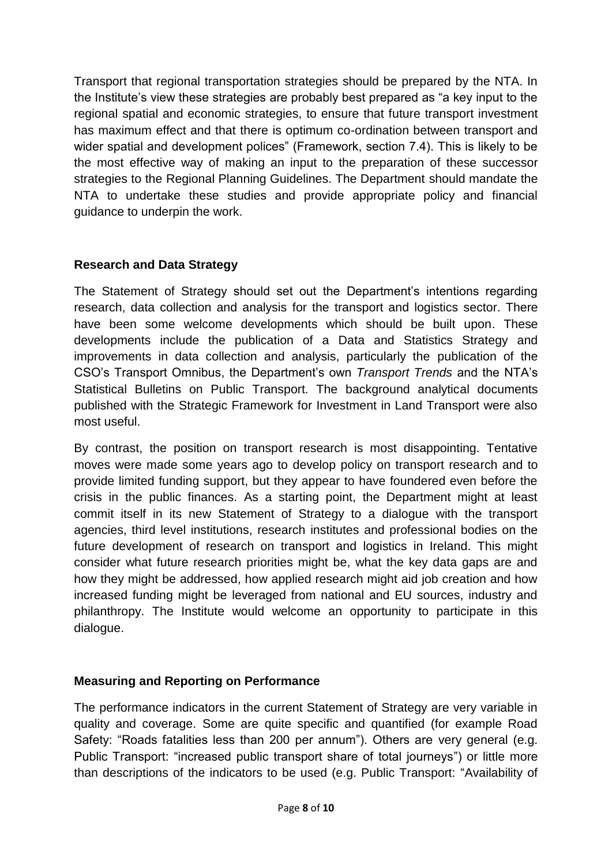Transport that regional transportation strategies should be prepared by the NTA. In the Institute's view these strategies are probably best prepared as "a key input to the regional spatial and economic strategies, to ensure that future transport investment has maximum effect and that there is optimum co-ordination between transport and wider spatial and development polices" (Framework, section 7.4). This is likely to be the most effective way of making an input to the preparation of these successor strategies to the Regional Planning Guidelines. The Department should mandate the NTA to undertake these studies and provide appropriate policy and financial guidance to underpin the work.

## **Research and Data Strategy**

The Statement of Strategy should set out the Department's intentions regarding research, data collection and analysis for the transport and logistics sector. There have been some welcome developments which should be built upon. These developments include the publication of a Data and Statistics Strategy and improvements in data collection and analysis, particularly the publication of the CSO's Transport Omnibus, the Department's own *Transport Trends* and the NTA's Statistical Bulletins on Public Transport. The background analytical documents published with the Strategic Framework for Investment in Land Transport were also most useful.

By contrast, the position on transport research is most disappointing. Tentative moves were made some years ago to develop policy on transport research and to provide limited funding support, but they appear to have foundered even before the crisis in the public finances. As a starting point, the Department might at least commit itself in its new Statement of Strategy to a dialogue with the transport agencies, third level institutions, research institutes and professional bodies on the future development of research on transport and logistics in Ireland. This might consider what future research priorities might be, what the key data gaps are and how they might be addressed, how applied research might aid job creation and how increased funding might be leveraged from national and EU sources, industry and philanthropy. The Institute would welcome an opportunity to participate in this dialogue.

#### **Measuring and Reporting on Performance**

The performance indicators in the current Statement of Strategy are very variable in quality and coverage. Some are quite specific and quantified (for example Road Safety: "Roads fatalities less than 200 per annum"). Others are very general (e.g. Public Transport: "increased public transport share of total journeys") or little more than descriptions of the indicators to be used (e.g. Public Transport: "Availability of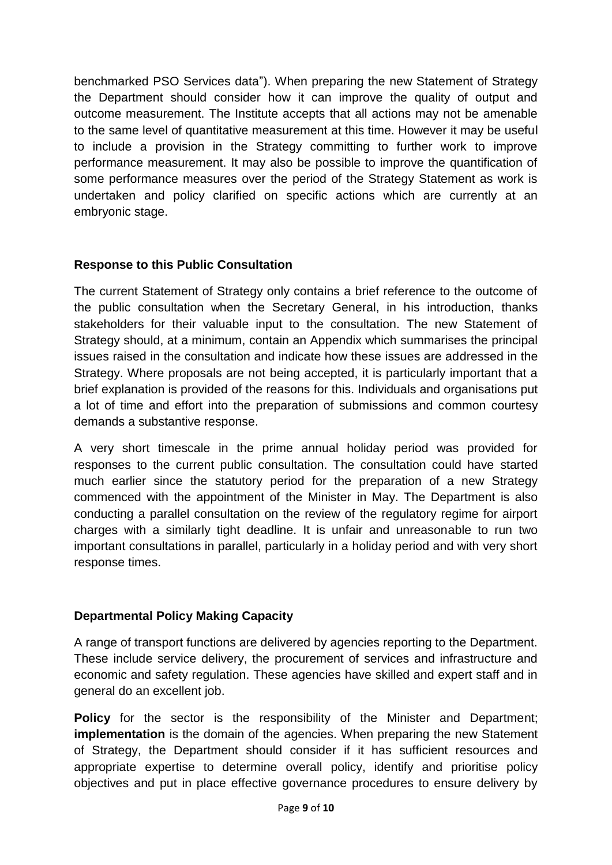benchmarked PSO Services data"). When preparing the new Statement of Strategy the Department should consider how it can improve the quality of output and outcome measurement. The Institute accepts that all actions may not be amenable to the same level of quantitative measurement at this time. However it may be useful to include a provision in the Strategy committing to further work to improve performance measurement. It may also be possible to improve the quantification of some performance measures over the period of the Strategy Statement as work is undertaken and policy clarified on specific actions which are currently at an embryonic stage.

## **Response to this Public Consultation**

The current Statement of Strategy only contains a brief reference to the outcome of the public consultation when the Secretary General, in his introduction, thanks stakeholders for their valuable input to the consultation. The new Statement of Strategy should, at a minimum, contain an Appendix which summarises the principal issues raised in the consultation and indicate how these issues are addressed in the Strategy. Where proposals are not being accepted, it is particularly important that a brief explanation is provided of the reasons for this. Individuals and organisations put a lot of time and effort into the preparation of submissions and common courtesy demands a substantive response.

A very short timescale in the prime annual holiday period was provided for responses to the current public consultation. The consultation could have started much earlier since the statutory period for the preparation of a new Strategy commenced with the appointment of the Minister in May. The Department is also conducting a parallel consultation on the review of the regulatory regime for airport charges with a similarly tight deadline. It is unfair and unreasonable to run two important consultations in parallel, particularly in a holiday period and with very short response times.

#### **Departmental Policy Making Capacity**

A range of transport functions are delivered by agencies reporting to the Department. These include service delivery, the procurement of services and infrastructure and economic and safety regulation. These agencies have skilled and expert staff and in general do an excellent job.

**Policy** for the sector is the responsibility of the Minister and Department; **implementation** is the domain of the agencies. When preparing the new Statement of Strategy, the Department should consider if it has sufficient resources and appropriate expertise to determine overall policy, identify and prioritise policy objectives and put in place effective governance procedures to ensure delivery by